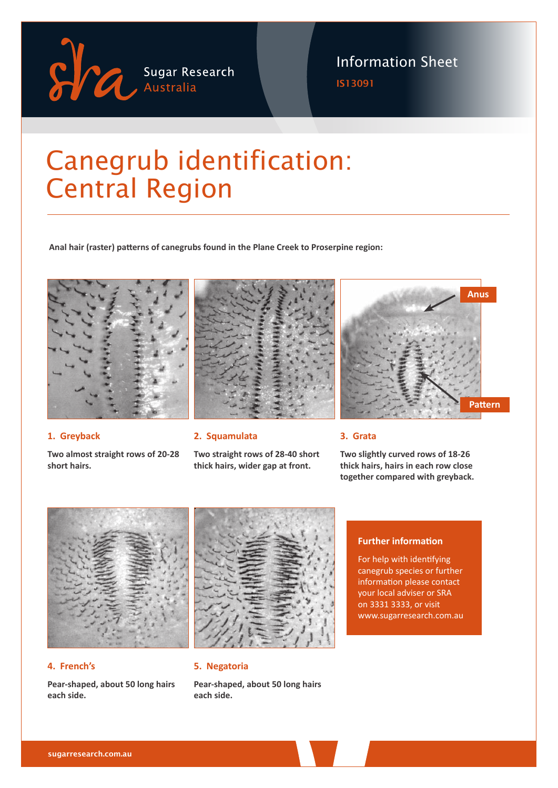

### Information Sheet

IS13091

# Canegrub identification: Central Region

**Anal hair (raster) patterns of canegrubs found in the Plane Creek to Proserpine region:**



**Two almost straight rows of 20-28** 

## **2. Squamulata**

**Two straight rows of 28-40 short thick hairs, wider gap at front.**



#### **3. Grata**

**Two slightly curved rows of 18-26 thick hairs, hairs in each row close together compared with greyback.**



#### **4. French's**

**1. Greyback**

**short hairs.**

**Pear-shaped, about 50 long hairs each side.**



#### **5. Negatoria**

**Pear-shaped, about 50 long hairs each side.**

#### **Further information**

For help with identifying canegrub species or further information please contact your local adviser or SRA on 3331 3333, or visit www.sugarresearch.com.au